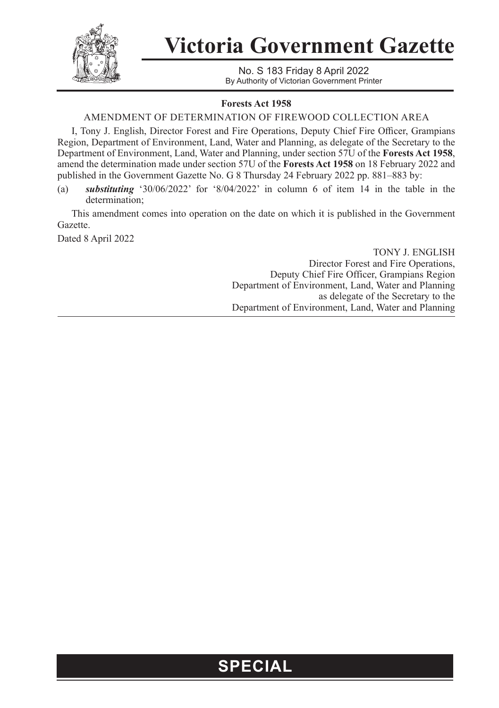

## **Victoria Government Gazette**

No. S 183 Friday 8 April 2022 By Authority of Victorian Government Printer

### **Forests Act 1958**

### AMENDMENT OF DETERMINATION OF FIREWOOD COLLECTION AREA

I, Tony J. English, Director Forest and Fire Operations, Deputy Chief Fire Officer, Grampians Region, Department of Environment, Land, Water and Planning, as delegate of the Secretary to the Department of Environment, Land, Water and Planning, under section 57U of the **Forests Act 1958**, amend the determination made under section 57U of the **Forests Act 1958** on 18 February 2022 and published in the Government Gazette No. G 8 Thursday 24 February 2022 pp. 881–883 by:

(a) *substituting* '30/06/2022' for '8/04/2022' in column 6 of item 14 in the table in the determination;

This amendment comes into operation on the date on which it is published in the Government Gazette.

Dated 8 April 2022

TONY J. ENGLISH Director Forest and Fire Operations, Deputy Chief Fire Officer, Grampians Region Department of Environment, Land, Water and Planning as delegate of the Secretary to the Department of Environment, Land, Water and Planning

## **SPECIAL**